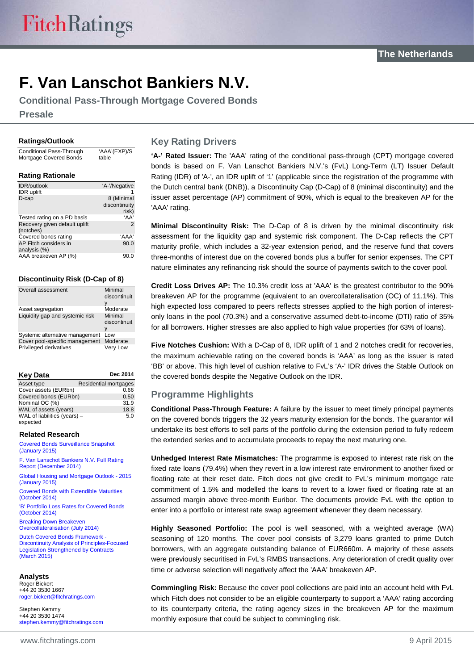# **F. Van Lanschot Bankiers N.V.**

**Conditional Pass-Through Mortgage Covered Bonds**

**Presale**

#### **Ratings/Outlook**

Conditional Pass-Through Mortgage Covered Bonds 'AAA'(EXP)/S table

#### **Rating Rationale**

| <b>IDR/outlook</b>            | 'A-'/Negative |
|-------------------------------|---------------|
| IDR uplift                    |               |
| D-cap                         | 8 (Minimal    |
|                               | discontinuity |
|                               | risk)         |
| Tested rating on a PD basis   | 'AA'          |
| Recovery given default uplift | $\mathcal{P}$ |
| (notches)                     |               |
| Covered bonds rating          | 'AAA'         |
| AP Fitch considers in         | 90.0          |
| analysis (%)                  |               |
| AAA breakeven AP (%)          | 90.C          |
|                               |               |

#### **Discontinuity Risk (D-Cap of 8)**

| Overall assessment              | Minimal<br>discontinuit<br>٧ |
|---------------------------------|------------------------------|
| Asset segregation               | Moderate                     |
| Liquidity gap and systemic risk | Minimal<br>discontinuit<br>٧ |
| Systemic alternative management | Low                          |
| Cover pool-specific management  | Moderate                     |
| Privileged derivatives          | Verv Low                     |

| <b>Key Data</b>                          | Dec 2014              |
|------------------------------------------|-----------------------|
| Asset type                               | Residential mortgages |
| Cover assets (EURbn)                     | 0.66                  |
| Covered bonds (EURbn)                    | 0.50                  |
| Nominal OC (%)                           | 31.9                  |
| WAL of assets (years)                    | 18.8                  |
| WAL of liabilities (years) -<br>expected | 5.0                   |

#### **Related Research**

[Covered Bonds Surveillance Snapshot](https://www.fitchratings.com/creditdesk/reports/report_frame.cfm?rpt_id=858748)  [\(January 2015\)](https://www.fitchratings.com/creditdesk/reports/report_frame.cfm?rpt_id=858748) [F. Van Lanschot Bankiers N.V. Full Rating](https://www.fitchratings.com/creditdesk/reports/report_frame.cfm?rpt_id=829128)  [Report \(December 2014\)](https://www.fitchratings.com/creditdesk/reports/report_frame.cfm?rpt_id=829128)

[Global Housing and Mortgage Outlook -](https://www.fitchratings.com/creditdesk/reports/report_frame.cfm?rpt_id=849488) 2015 [\(January 2015\)](https://www.fitchratings.com/creditdesk/reports/report_frame.cfm?rpt_id=849488) [Covered Bonds with Extendible Maturities](https://www.fitchratings.com/creditdesk/reports/report_frame.cfm?rpt_id=779869) 

[\(October 2014\)](https://www.fitchratings.com/creditdesk/reports/report_frame.cfm?rpt_id=779869) ['B' Portfolio Loss Rates for Covered Bonds](https://www.fitchratings.com/creditdesk/reports/report_frame.cfm?rpt_id=791128)  [\(October 2014\)](https://www.fitchratings.com/creditdesk/reports/report_frame.cfm?rpt_id=791128)

[Breaking Down Breakeven](https://www.fitchratings.com/creditdesk/reports/report_frame.cfm?rpt_id=751629)  [Overcollateralisation \(July 2014\)](https://www.fitchratings.com/creditdesk/reports/report_frame.cfm?rpt_id=751629)

[Dutch Covered Bonds Framework -](https://www.fitchratings.com/creditdesk/reports/report_frame.cfm?rpt_id=825688) [Discontinuity Analysis of Principles-Focused](https://www.fitchratings.com/creditdesk/reports/report_frame.cfm?rpt_id=825688)  [Legislation Strengthened by Contracts](https://www.fitchratings.com/creditdesk/reports/report_frame.cfm?rpt_id=825688) (March 2015)

#### **Analysts**

Roger Bickert +44 20 3530 1667 [roger.bickert@fitchratings.com](mailto:roger.bickert@fitchratings.com)

Stephen Kemmy +44 20 3530 1474 [stephen.kemmy@fitchratings.com](mailto:stephen.kemmy@fitchratings.com)

#### **Key Rating Drivers**

**'A-' Rated Issuer:** The 'AAA' rating of the conditional pass-through (CPT) mortgage covered bonds is based on F. Van Lanschot Bankiers N.V.'s (FvL) Long-Term (LT) Issuer Default Rating (IDR) of 'A-', an IDR uplift of '1' (applicable since the registration of the programme with the Dutch central bank (DNB)), a Discontinuity Cap (D-Cap) of 8 (minimal discontinuity) and the issuer asset percentage (AP) commitment of 90%, which is equal to the breakeven AP for the 'AAA' rating.

**Minimal Discontinuity Risk:** The D-Cap of 8 is driven by the minimal discontinuity risk assessment for the liquidity gap and systemic risk component. The D-Cap reflects the CPT maturity profile, which includes a 32-year extension period, and the reserve fund that covers three-months of interest due on the covered bonds plus a buffer for senior expenses. The CPT nature eliminates any refinancing risk should the source of payments switch to the cover pool.

**Credit Loss Drives AP:** The 10.3% credit loss at 'AAA' is the greatest contributor to the 90% breakeven AP for the programme (equivalent to an overcollateralisation (OC) of 11.1%). This high expected loss compared to peers reflects stresses applied to the high portion of interestonly loans in the pool (70.3%) and a conservative assumed debt-to-income (DTI) ratio of 35% for all borrowers. Higher stresses are also applied to high value properties (for 63% of loans).

**Five Notches Cushion:** With a D-Cap of 8, IDR uplift of 1 and 2 notches credit for recoveries, the maximum achievable rating on the covered bonds is 'AAA' as long as the issuer is rated 'BB' or above. This high level of cushion relative to FvL's 'A-' IDR drives the Stable Outlook on the covered bonds despite the Negative Outlook on the IDR.

#### **Programme Highlights**

**Conditional Pass-Through Feature:** A failure by the issuer to meet timely principal payments on the covered bonds triggers the 32 years maturity extension for the bonds. The guarantor will undertake its best efforts to sell parts of the portfolio during the extension period to fully redeem the extended series and to accumulate proceeds to repay the next maturing one.

**Unhedged Interest Rate Mismatches:** The programme is exposed to interest rate risk on the fixed rate loans (79.4%) when they revert in a low interest rate environment to another fixed or floating rate at their reset date. Fitch does not give credit to FvL's minimum mortgage rate commitment of 1.5% and modelled the loans to revert to a lower fixed or floating rate at an assumed margin above three-month Euribor. The documents provide FvL with the option to enter into a portfolio or interest rate swap agreement whenever they deem necessary.

**Highly Seasoned Portfolio:** The pool is well seasoned, with a weighted average (WA) seasoning of 120 months. The cover pool consists of 3,279 loans granted to prime Dutch borrowers, with an aggregate outstanding balance of EUR660m. A majority of these assets were previously securitised in FvL's RMBS transactions. Any deterioration of credit quality over time or adverse selection will negatively affect the 'AAA' breakeven AP.

**Commingling Risk:** Because the cover pool collections are paid into an account held with FvL which Fitch does not consider to be an eligible counterparty to support a 'AAA' rating according to its counterparty criteria, the rating agency sizes in the breakeven AP for the maximum monthly exposure that could be subject to commingling risk.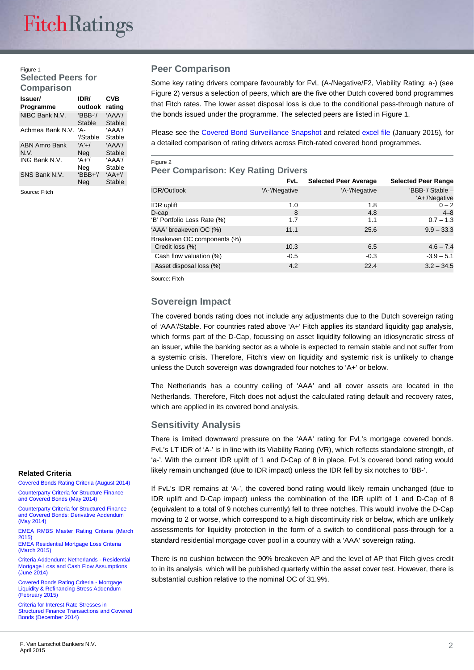#### Figure 1 **Selected Peers for Comparison**

| Issuer/<br>Programme         | IDR/<br>outlook     | CVB<br>rating          |
|------------------------------|---------------------|------------------------|
| NIBC Bank N.V.               | $'BBB-7/$<br>Stable | 'AAA'/<br>Stable       |
| Achmea Bank N.V.             | 'А-<br>'/Stable     | 'AAA'/<br>Stable       |
| <b>ABN Amro Bank</b><br>N.V. | $A' + I$<br>Neg     | 'AAA'/<br>Stable       |
| ING Bank N.V.                | $A+7$<br>Neg        | 'AAA'/<br>Stable       |
| SNS Bank N.V.                | $'BBB+$<br>Neg      | $A + \gamma$<br>Stable |

Source: Fitch

#### **Peer Comparison**

Some key rating drivers compare favourably for FvL (A-/Negative/F2, Viability Rating: a-) (see Figure 2) versus a selection of peers, which are the five other Dutch covered bond programmes that Fitch rates. The lower asset disposal loss is due to the conditional pass-through nature of the bonds issued under the programme. The selected peers are listed in Figure 1.

Please see the [Covered Bond Surveillance Snapshot](https://www.fitchratings.com/creditdesk/reports/report_frame.cfm?rpt_id=858748) and related [excel file](https://www.fitchratings.com/creditdesk/reports/report_frame.cfm?rpt_id=861338) (January 2015), for a detailed comparison of rating drivers across Fitch-rated covered bond programmes.

#### Figure 2

#### **Peer Comparison: Key Rating Drivers**

|                             | <b>FvL</b>    | <b>Selected Peer Average</b> | <b>Selected Peer Range</b>        |
|-----------------------------|---------------|------------------------------|-----------------------------------|
| <b>IDR/Outlook</b>          | 'A-'/Negative | 'A-'/Negative                | 'BBB-'/ Stable -<br>'A+'/Negative |
| <b>IDR</b> uplift           | 1.0           | 1.8                          | $0 - 2$                           |
| $D$ -cap                    | 8             | 4.8                          | $4 - 8$                           |
| 'B' Portfolio Loss Rate (%) | 1.7           | 1.1                          | $0.7 - 1.3$                       |
| 'AAA' breakeven OC (%)      | 11.1          | 25.6                         | $9.9 - 33.3$                      |
| Breakeven OC components (%) |               |                              |                                   |
| Credit loss (%)             | 10.3          | 6.5                          | $4.6 - 7.4$                       |
| Cash flow valuation (%)     | $-0.5$        | $-0.3$                       | $-3.9 - 5.1$                      |
| Asset disposal loss (%)     | 4.2           | 22.4                         | $3.2 - 34.5$                      |
| Source: Fitch               |               |                              |                                   |

#### **Sovereign Impact**

The covered bonds rating does not include any adjustments due to the Dutch sovereign rating of 'AAA'/Stable. For countries rated above 'A+' Fitch applies its standard liquidity gap analysis, which forms part of the D-Cap, focussing on asset liquidity following an idiosyncratic stress of an issuer, while the banking sector as a whole is expected to remain stable and not suffer from a systemic crisis. Therefore, Fitch's view on liquidity and systemic risk is unlikely to change unless the Dutch sovereign was downgraded four notches to 'A+' or below.

The Netherlands has a country ceiling of 'AAA' and all cover assets are located in the Netherlands. Therefore, Fitch does not adjust the calculated rating default and recovery rates, which are applied in its covered bond analysis.

#### **Sensitivity Analysis**

There is limited downward pressure on the 'AAA' rating for FvL's mortgage covered bonds. FvL's LT IDR of 'A-' is in line with its Viability Rating (VR), which reflects standalone strength, of 'a-'. With the current IDR uplift of 1 and D-Cap of 8 in place, FvL's covered bond rating would likely remain unchanged (due to IDR impact) unless the IDR fell by six notches to 'BB-'.

If FvL's IDR remains at 'A-', the covered bond rating would likely remain unchanged (due to IDR uplift and D-Cap impact) unless the combination of the IDR uplift of 1 and D-Cap of 8 (equivalent to a total of 9 notches currently) fell to three notches. This would involve the D-Cap moving to 2 or worse, which correspond to a high discontinuity risk or below, which are unlikely assessments for liquidity protection in the form of a switch to conditional pass-through for a standard residential mortgage cover pool in a country with a 'AAA' sovereign rating.

There is no cushion between the 90% breakeven AP and the level of AP that Fitch gives credit to in its analysis, which will be published quarterly within the asset cover test. However, there is substantial cushion relative to the nominal OC of 31.9%.

#### **Related Criteria**

[Covered Bonds Rating Criteria \(August](https://www.fitchratings.com/creditdesk/reports/report.cfm?rpt_id=738975&referral=&display_method=1) 2014) [Counterparty Criteria for Structure Finance](https://www.fitchratings.com/creditdesk/reports/report.cfm?rpt_id=744158&referral=&display_method=1)  [and Covered Bonds \(May 2014\)](https://www.fitchratings.com/creditdesk/reports/report.cfm?rpt_id=744158&referral=&display_method=1)

[Counterparty Criteria for Structured Finance](https://www.fitchratings.com/creditdesk/reports/report.cfm?rpt_id=744175&referral=&display_method=1)  [and Covered Bonds: Derivative Addendum](https://www.fitchratings.com/creditdesk/reports/report.cfm?rpt_id=744175&referral=&display_method=1)  [\(May 2014\)](https://www.fitchratings.com/creditdesk/reports/report.cfm?rpt_id=744175&referral=&display_method=1)

[EMEA RMBS Master Rating Criteria \(March](http://www.fitchratings.com/creditdesk/reports/report_frame.cfm?rpt_id=749271)  [2015\)](http://www.fitchratings.com/creditdesk/reports/report_frame.cfm?rpt_id=749271)

[EMEA Residential Mortgage Loss Criteria](https://www.fitchratings.com/creditdesk/reports/report_frame.cfm?rpt_id=749272)  [\(March 2015\)](https://www.fitchratings.com/creditdesk/reports/report_frame.cfm?rpt_id=749272)

[Criteria Addendum: Netherlands -](https://www.fitchratings.com/creditdesk/reports/report.cfm?rpt_id=749548) Residential [Mortgage Loss and Cash Flow Assumptions](https://www.fitchratings.com/creditdesk/reports/report.cfm?rpt_id=749548)  (June [2014\)](https://www.fitchratings.com/creditdesk/reports/report.cfm?rpt_id=749548)

[Covered Bonds Rating Criteria -](https://www.fitchratings.com/creditdesk/reports/report_frame.cfm?rpt_id=861806) Mortgage [Liquidity & Refinancing](https://www.fitchratings.com/creditdesk/reports/report_frame.cfm?rpt_id=861806) Stress Addendum [\(February](https://www.fitchratings.com/creditdesk/reports/report_frame.cfm?rpt_id=861806) 2015)

[Criteria for Interest Rate Stresses in](https://www.fitchratings.com/creditdesk/reports/report_frame.cfm?rpt_id=838868)  [Structured Finance Transactions and Covered](https://www.fitchratings.com/creditdesk/reports/report_frame.cfm?rpt_id=838868)  [Bonds \(December 2014\)](https://www.fitchratings.com/creditdesk/reports/report_frame.cfm?rpt_id=838868)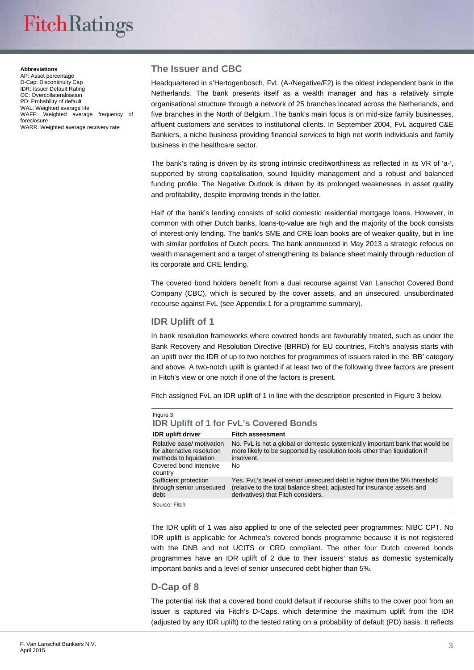# **FitchRatings**

#### **Abbreviations**

AP: Asset percentage D-Cap: Discontinuity Cap IDR: Issuer Default Rating OC: Overcollateralisation PD: Probability of default WAL: Weighted average life WAFF: Weighted average frequency of foreclosure WARR: Weighted average recovery rate

#### **The Issuer and CBC**

Headquartered in s'Hertogenbosch, FvL (A-/Negative/F2) is the oldest independent bank in the Netherlands. The bank presents itself as a wealth manager and has a relatively simple organisational structure through a network of 25 branches located across the Netherlands, and five branches in the North of Belgium..The bank's main focus is on mid-size family businesses, affluent customers and services to institutional clients. In September 2004, FvL acquired C&E Bankiers, a niche business providing financial services to high net worth individuals and family business in the healthcare sector.

The bank's rating is driven by its strong intrinsic creditworthiness as reflected in its VR of 'a-', supported by strong capitalisation, sound liquidity management and a robust and balanced funding profile. The Negative Outlook is driven by its prolonged weaknesses in asset quality and profitability, despite improving trends in the latter.

Half of the bank's lending consists of solid domestic residential mortgage loans. However, in common with other Dutch banks, loans-to-value are high and the majority of the book consists of interest-only lending. The bank's SME and CRE loan books are of weaker quality, but in line with similar portfolios of Dutch peers. The bank announced in May 2013 a strategic refocus on wealth management and a target of strengthening its balance sheet mainly through reduction of its corporate and CRE lending.

The covered bond holders benefit from a dual recourse against Van Lanschot Covered Bond Company (CBC), which is secured by the cover assets, and an unsecured, unsubordinated recourse against FvL (see Appendix 1 for a programme summary).

#### **IDR Uplift of 1**

In bank resolution frameworks where covered bonds are favourably treated, such as under the Bank Recovery and Resolution Directive (BRRD) for EU countries, Fitch's analysis starts with an uplift over the IDR of up to two notches for programmes of issuers rated in the 'BB' category and above. A two-notch uplift is granted if at least two of the following three factors are present in Fitch's view or one notch if one of the factors is present.

Fitch assigned FvL an IDR uplift of 1 in line with the description presented in Figure 3 below.

| Figure 3                                                                                                               | <b>IDR Uplift of 1 for FvL's Covered Bonds</b>                                                                                                                                             |
|------------------------------------------------------------------------------------------------------------------------|--------------------------------------------------------------------------------------------------------------------------------------------------------------------------------------------|
| IDR uplift driver                                                                                                      | <b>Fitch assessment</b>                                                                                                                                                                    |
| Relative ease/ motivation<br>for alternative resolution<br>methods to liquidation<br>Covered bond intensive<br>country | No. FyL is not a global or domestic systemically important bank that would be<br>more likely to be supported by resolution tools other than liquidation if<br>insolvent.<br>No.            |
| Sufficient protection<br>through senior unsecured<br>debt                                                              | Yes. FyL's level of senior unsecured debt is higher than the 5% threshold<br>(relative to the total balance sheet, adjusted for insurance assets and<br>derivatives) that Fitch considers. |
| Source: Fitch                                                                                                          |                                                                                                                                                                                            |

The IDR uplift of 1 was also applied to one of the selected peer programmes: NIBC CPT. No IDR uplift is applicable for Achmea's covered bonds programme because it is not registered with the DNB and not UCITS or CRD compliant. The other four Dutch covered bonds programmes have an IDR uplift of 2 due to their issuers' status as domestic systemically important banks and a level of senior unsecured debt higher than 5%.

#### **D-Cap of 8**

The potential risk that a covered bond could default if recourse shifts to the cover pool from an issuer is captured via Fitch's D-Caps, which determine the maximum uplift from the IDR (adjusted by any IDR uplift) to the tested rating on a probability of default (PD) basis. It reflects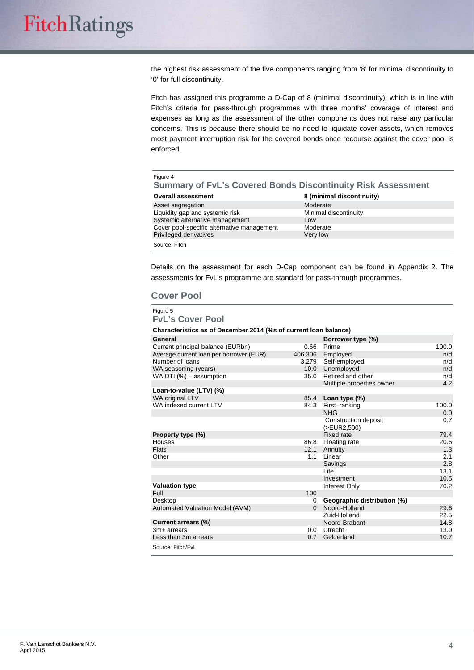the highest risk assessment of the five components ranging from '8' for minimal discontinuity to '0' for full discontinuity.

Fitch has assigned this programme a D-Cap of 8 (minimal discontinuity), which is in line with Fitch's criteria for pass-through programmes with three months' coverage of interest and expenses as long as the assessment of the other components does not raise any particular concerns. This is because there should be no need to liquidate cover assets, which removes most payment interruption risk for the covered bonds once recourse against the cover pool is enforced.

| Figure 4<br><b>Summary of FvL's Covered Bonds Discontinuity Risk Assessment</b> |                           |
|---------------------------------------------------------------------------------|---------------------------|
| <b>Overall assessment</b>                                                       | 8 (minimal discontinuity) |
| Asset segregation                                                               | Moderate                  |
| Liquidity gap and systemic risk                                                 | Minimal discontinuity     |
| Systemic alternative management                                                 | l ow                      |
| Cover pool-specific alternative management                                      | Moderate                  |
| Privileged derivatives                                                          | Very low                  |
| Source: Fitch                                                                   |                           |

Details on the assessment for each D-Cap component can be found in Appendix 2. The assessments for FvL's programme are standard for pass-through programmes.

#### **Cover Pool**

Figure 5 **FvL's Cover Pool**

#### **Characteristics as of December 2014 (%s of current loan balance)**

| General                                 |          | Borrower type (%)           |       |
|-----------------------------------------|----------|-----------------------------|-------|
| Current principal balance (EURbn)       | 0.66     | Prime                       | 100.0 |
| Average current loan per borrower (EUR) | 406,306  | Employed                    | n/d   |
| Number of loans                         | 3.279    | Self-employed               | n/d   |
| WA seasoning (years)                    | 10.0     | Unemployed                  | n/d   |
| WA DTI (%) - assumption                 | 35.0     | Retired and other           | n/d   |
|                                         |          | Multiple properties owner   | 4.2   |
| Loan-to-value (LTV) (%)                 |          |                             |       |
| WA original LTV                         | 85.4     | Loan type $(\%)$            |       |
| WA indexed current LTV                  | 84.3     | First-ranking               | 100.0 |
|                                         |          | <b>NHG</b>                  | 0.0   |
|                                         |          | Construction deposit        | 0.7   |
|                                         |          | (>EUR2,500)                 |       |
| Property type (%)                       |          | <b>Fixed rate</b>           | 79.4  |
| Houses                                  | 86.8     | Floating rate               | 20.6  |
| <b>Flats</b>                            | 12.1     | Annuity                     | 1.3   |
| Other                                   | 1.1      | Linear                      | 2.1   |
|                                         |          | Savings                     | 2.8   |
|                                         |          | Life                        | 13.1  |
|                                         |          | Investment                  | 10.5  |
| <b>Valuation type</b>                   |          | Interest Only               | 70.2  |
| Full                                    | 100      |                             |       |
| Desktop                                 | 0        | Geographic distribution (%) |       |
| Automated Valuation Model (AVM)         | $\Omega$ | Noord-Holland               | 29.6  |
|                                         |          | Zuid-Holland                | 22.5  |
| Current arrears (%)                     |          | Noord-Brabant               | 14.8  |
| $3m+$ arrears                           | 0.0      | Utrecht                     | 13.0  |
| Less than 3m arrears                    | 0.7      | Gelderland                  | 10.7  |
| Source: Fitch/FvL                       |          |                             |       |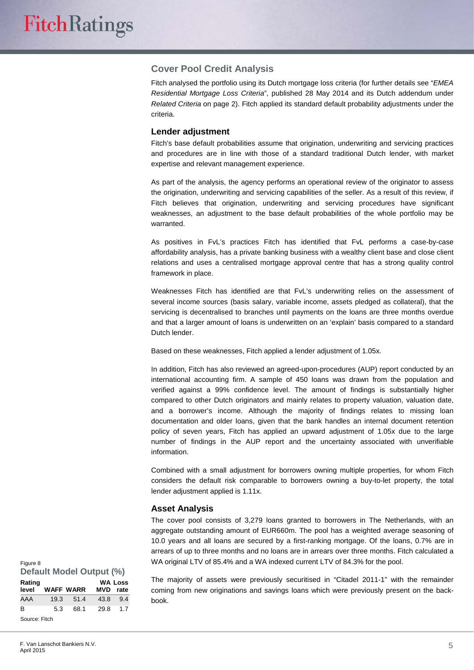#### **Cover Pool Credit Analysis**

Fitch analysed the portfolio using its Dutch mortgage loss criteria (for further details see "*EMEA Residential Mortgage Loss Criteria*", published 28 May 2014 and its Dutch addendum under *Related Criteria* on page 2). Fitch applied its standard default probability adjustments under the criteria.

#### **Lender adjustment**

Fitch's base default probabilities assume that origination, underwriting and servicing practices and procedures are in line with those of a standard traditional Dutch lender, with market expertise and relevant management experience.

As part of the analysis, the agency performs an operational review of the originator to assess the origination, underwriting and servicing capabilities of the seller. As a result of this review, if Fitch believes that origination, underwriting and servicing procedures have significant weaknesses, an adjustment to the base default probabilities of the whole portfolio may be warranted.

As positives in FvL's practices Fitch has identified that FvL performs a case-by-case affordability analysis, has a private banking business with a wealthy client base and close client relations and uses a centralised mortgage approval centre that has a strong quality control framework in place.

Weaknesses Fitch has identified are that FvL's underwriting relies on the assessment of several income sources (basis salary, variable income, assets pledged as collateral), that the servicing is decentralised to branches until payments on the loans are three months overdue and that a larger amount of loans is underwritten on an 'explain' basis compared to a standard Dutch lender.

Based on these weaknesses, Fitch applied a lender adjustment of 1.05x.

In addition, Fitch has also reviewed an agreed-upon-procedures (AUP) report conducted by an international accounting firm. A sample of 450 loans was drawn from the population and verified against a 99% confidence level. The amount of findings is substantially higher compared to other Dutch originators and mainly relates to property valuation, valuation date, and a borrower's income. Although the majority of findings relates to missing loan documentation and older loans, given that the bank handles an internal document retention policy of seven years, Fitch has applied an upward adjustment of 1.05x due to the large number of findings in the AUP report and the uncertainty associated with unverifiable information.

Combined with a small adjustment for borrowers owning multiple properties, for whom Fitch considers the default risk comparable to borrowers owning a buy-to-let property, the total lender adjustment applied is 1.11x.

#### **Asset Analysis**

The cover pool consists of 3,279 loans granted to borrowers in The Netherlands, with an aggregate outstanding amount of EUR660m. The pool has a weighted average seasoning of 10.0 years and all loans are secured by a first-ranking mortgage. Of the loans, 0.7% are in arrears of up to three months and no loans are in arrears over three months. Fitch calculated a WA original LTV of 85.4% and a WA indexed current LTV of 84.3% for the pool.

The majority of assets were previously securitised in "Citadel 2011-1" with the remainder coming from new originations and savings loans which were previously present on the backbook. **Loss rate**

| Figure 8        |      | <b>Default Model Output (%)</b> |      |                        |
|-----------------|------|---------------------------------|------|------------------------|
| Rating<br>level |      | <b>WAFF WARR</b>                | MVD  | <b>WA Loss</b><br>rate |
| AAA             | 19.3 | 51.4                            | 43.8 | 9.4                    |
| B               | 5.3  | 68.1                            | 29.8 | 1.7                    |
| Source: Fitch   |      |                                 |      |                        |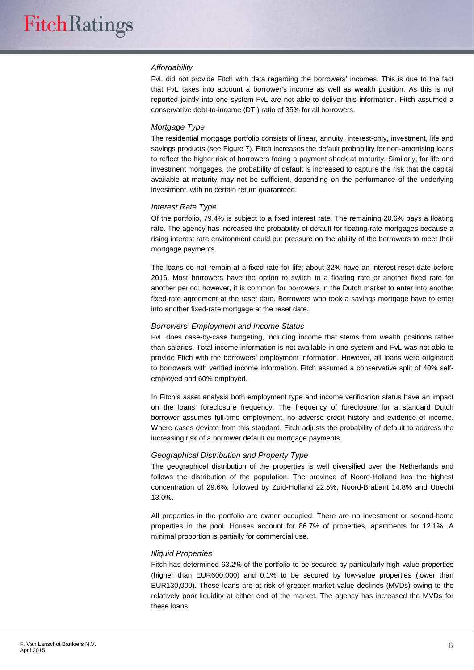#### *Affordability*

FvL did not provide Fitch with data regarding the borrowers' incomes. This is due to the fact that FvL takes into account a borrower's income as well as wealth position. As this is not reported jointly into one system FvL are not able to deliver this information. Fitch assumed a conservative debt-to-income (DTI) ratio of 35% for all borrowers.

#### *Mortgage Type*

The residential mortgage portfolio consists of linear, annuity, interest-only, investment, life and savings products (see Figure 7). Fitch increases the default probability for non-amortising loans to reflect the higher risk of borrowers facing a payment shock at maturity. Similarly, for life and investment mortgages, the probability of default is increased to capture the risk that the capital available at maturity may not be sufficient, depending on the performance of the underlying investment, with no certain return guaranteed.

#### *Interest Rate Type*

Of the portfolio, 79.4% is subject to a fixed interest rate. The remaining 20.6% pays a floating rate. The agency has increased the probability of default for floating-rate mortgages because a rising interest rate environment could put pressure on the ability of the borrowers to meet their mortgage payments.

The loans do not remain at a fixed rate for life; about 32% have an interest reset date before 2016. Most borrowers have the option to switch to a floating rate or another fixed rate for another period; however, it is common for borrowers in the Dutch market to enter into another fixed-rate agreement at the reset date. Borrowers who took a savings mortgage have to enter into another fixed-rate mortgage at the reset date.

#### *Borrowers' Employment and Income Status*

FvL does case-by-case budgeting, including income that stems from wealth positions rather than salaries. Total income information is not available in one system and FvL was not able to provide Fitch with the borrowers' employment information. However, all loans were originated to borrowers with verified income information. Fitch assumed a conservative split of 40% selfemployed and 60% employed.

In Fitch's asset analysis both employment type and income verification status have an impact on the loans' foreclosure frequency. The frequency of foreclosure for a standard Dutch borrower assumes full-time employment, no adverse credit history and evidence of income. Where cases deviate from this standard, Fitch adjusts the probability of default to address the increasing risk of a borrower default on mortgage payments.

#### *Geographical Distribution and Property Type*

The geographical distribution of the properties is well diversified over the Netherlands and follows the distribution of the population. The province of Noord-Holland has the highest concentration of 29.6%, followed by Zuid-Holland 22.5%, Noord-Brabant 14.8% and Utrecht 13.0%.

All properties in the portfolio are owner occupied. There are no investment or second-home properties in the pool. Houses account for 86.7% of properties, apartments for 12.1%. A minimal proportion is partially for commercial use.

#### *Illiquid Properties*

Fitch has determined 63.2% of the portfolio to be secured by particularly high-value properties (higher than EUR600,000) and 0.1% to be secured by low-value properties (lower than EUR130,000). These loans are at risk of greater market value declines (MVDs) owing to the relatively poor liquidity at either end of the market. The agency has increased the MVDs for these loans.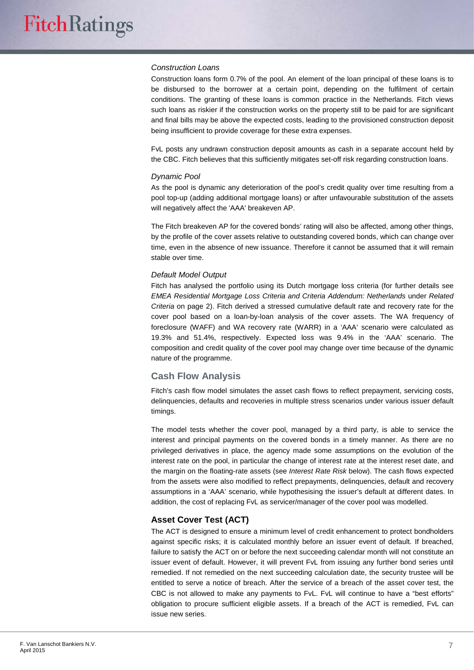#### *Construction Loans*

Construction loans form 0.7% of the pool. An element of the loan principal of these loans is to be disbursed to the borrower at a certain point, depending on the fulfilment of certain conditions. The granting of these loans is common practice in the Netherlands. Fitch views such loans as riskier if the construction works on the property still to be paid for are significant and final bills may be above the expected costs, leading to the provisioned construction deposit being insufficient to provide coverage for these extra expenses.

FvL posts any undrawn construction deposit amounts as cash in a separate account held by the CBC. Fitch believes that this sufficiently mitigates set-off risk regarding construction loans.

#### *Dynamic Pool*

As the pool is dynamic any deterioration of the pool's credit quality over time resulting from a pool top-up (adding additional mortgage loans) or after unfavourable substitution of the assets will negatively affect the 'AAA' breakeven AP.

The Fitch breakeven AP for the covered bonds' rating will also be affected, among other things, by the profile of the cover assets relative to outstanding covered bonds, which can change over time, even in the absence of new issuance. Therefore it cannot be assumed that it will remain stable over time.

#### *Default Model Output*

Fitch has analysed the portfolio using its Dutch mortgage loss criteria (for further details see *EMEA Residential Mortgage Loss Criteria and Criteria Addendum: Netherlands* under *Related Criteria* on page 2). Fitch derived a stressed cumulative default rate and recovery rate for the cover pool based on a loan-by-loan analysis of the cover assets. The WA frequency of foreclosure (WAFF) and WA recovery rate (WARR) in a 'AAA' scenario were calculated as 19.3% and 51.4%, respectively. Expected loss was 9.4% in the 'AAA' scenario. The composition and credit quality of the cover pool may change over time because of the dynamic nature of the programme.

#### **Cash Flow Analysis**

Fitch's cash flow model simulates the asset cash flows to reflect prepayment, servicing costs, delinquencies, defaults and recoveries in multiple stress scenarios under various issuer default timings.

The model tests whether the cover pool, managed by a third party, is able to service the interest and principal payments on the covered bonds in a timely manner. As there are no privileged derivatives in place, the agency made some assumptions on the evolution of the interest rate on the pool, in particular the change of interest rate at the interest reset date, and the margin on the floating-rate assets (see *Interest Rate Risk* below). The cash flows expected from the assets were also modified to reflect prepayments, delinquencies, default and recovery assumptions in a 'AAA' scenario, while hypothesising the issuer's default at different dates. In addition, the cost of replacing FvL as servicer/manager of the cover pool was modelled.

#### **Asset Cover Test (ACT)**

The ACT is designed to ensure a minimum level of credit enhancement to protect bondholders against specific risks; it is calculated monthly before an issuer event of default. If breached, failure to satisfy the ACT on or before the next succeeding calendar month will not constitute an issuer event of default. However, it will prevent FvL from issuing any further bond series until remedied. If not remedied on the next succeeding calculation date, the security trustee will be entitled to serve a notice of breach. After the service of a breach of the asset cover test, the CBC is not allowed to make any payments to FvL. FvL will continue to have a "best efforts" obligation to procure sufficient eligible assets. If a breach of the ACT is remedied, FvL can issue new series.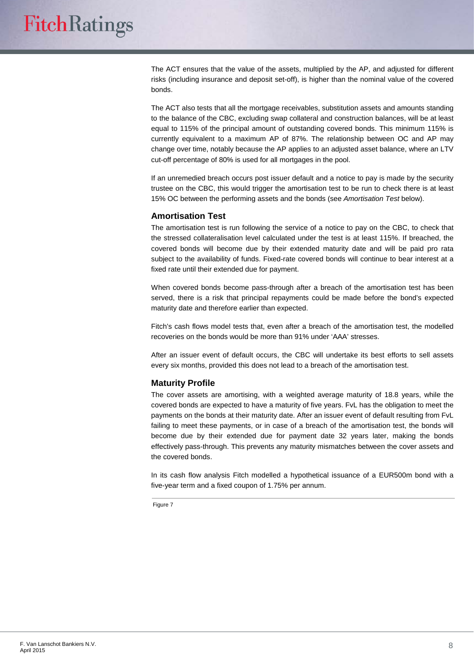The ACT ensures that the value of the assets, multiplied by the AP, and adjusted for different risks (including insurance and deposit set-off), is higher than the nominal value of the covered bonds.

The ACT also tests that all the mortgage receivables, substitution assets and amounts standing to the balance of the CBC, excluding swap collateral and construction balances, will be at least equal to 115% of the principal amount of outstanding covered bonds. This minimum 115% is currently equivalent to a maximum AP of 87%. The relationship between OC and AP may change over time, notably because the AP applies to an adjusted asset balance, where an LTV cut-off percentage of 80% is used for all mortgages in the pool.

If an unremedied breach occurs post issuer default and a notice to pay is made by the security trustee on the CBC, this would trigger the amortisation test to be run to check there is at least 15% OC between the performing assets and the bonds (see *Amortisation Test* below).

#### **Amortisation Test**

The amortisation test is run following the service of a notice to pay on the CBC, to check that the stressed collateralisation level calculated under the test is at least 115%. If breached, the covered bonds will become due by their extended maturity date and will be paid pro rata subject to the availability of funds. Fixed-rate covered bonds will continue to bear interest at a fixed rate until their extended due for payment.

When covered bonds become pass-through after a breach of the amortisation test has been served, there is a risk that principal repayments could be made before the bond's expected maturity date and therefore earlier than expected.

Fitch's cash flows model tests that, even after a breach of the amortisation test, the modelled recoveries on the bonds would be more than 91% under 'AAA' stresses.

After an issuer event of default occurs, the CBC will undertake its best efforts to sell assets every six months, provided this does not lead to a breach of the amortisation test.

#### **Maturity Profile**

The cover assets are amortising, with a weighted average maturity of 18.8 years, while the covered bonds are expected to have a maturity of five years. FvL has the obligation to meet the payments on the bonds at their maturity date. After an issuer event of default resulting from FvL failing to meet these payments, or in case of a breach of the amortisation test, the bonds will become due by their extended due for payment date 32 years later, making the bonds effectively pass-through. This prevents any maturity mismatches between the cover assets and the covered bonds.

In its cash flow analysis Fitch modelled a hypothetical issuance of a EUR500m bond with a five-year term and a fixed coupon of 1.75% per annum.

Figure 7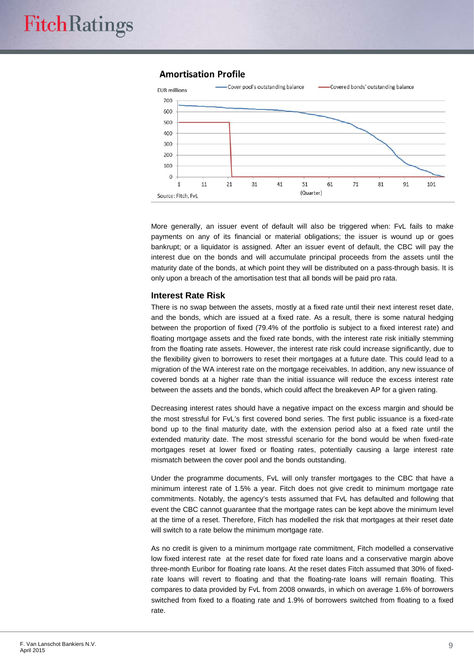#### **Amortisation Profile**



More generally, an issuer event of default will also be triggered when: FvL fails to make payments on any of its financial or material obligations; the issuer is wound up or goes bankrupt; or a liquidator is assigned. After an issuer event of default, the CBC will pay the interest due on the bonds and will accumulate principal proceeds from the assets until the maturity date of the bonds, at which point they will be distributed on a pass-through basis. It is only upon a breach of the amortisation test that all bonds will be paid pro rata.

#### **Interest Rate Risk**

There is no swap between the assets, mostly at a fixed rate until their next interest reset date, and the bonds, which are issued at a fixed rate. As a result, there is some natural hedging between the proportion of fixed (79.4% of the portfolio is subject to a fixed interest rate) and floating mortgage assets and the fixed rate bonds, with the interest rate risk initially stemming from the floating rate assets. However, the interest rate risk could increase significantly, due to the flexibility given to borrowers to reset their mortgages at a future date. This could lead to a migration of the WA interest rate on the mortgage receivables. In addition, any new issuance of covered bonds at a higher rate than the initial issuance will reduce the excess interest rate between the assets and the bonds, which could affect the breakeven AP for a given rating.

Decreasing interest rates should have a negative impact on the excess margin and should be the most stressful for FvL's first covered bond series. The first public issuance is a fixed-rate bond up to the final maturity date, with the extension period also at a fixed rate until the extended maturity date. The most stressful scenario for the bond would be when fixed-rate mortgages reset at lower fixed or floating rates, potentially causing a large interest rate mismatch between the cover pool and the bonds outstanding.

Under the programme documents, FvL will only transfer mortgages to the CBC that have a minimum interest rate of 1.5% a year. Fitch does not give credit to minimum mortgage rate commitments. Notably, the agency's tests assumed that FvL has defaulted and following that event the CBC cannot guarantee that the mortgage rates can be kept above the minimum level at the time of a reset. Therefore, Fitch has modelled the risk that mortgages at their reset date will switch to a rate below the minimum mortgage rate.

As no credit is given to a minimum mortgage rate commitment, Fitch modelled a conservative low fixed interest rate at the reset date for fixed rate loans and a conservative margin above three-month Euribor for floating rate loans. At the reset dates Fitch assumed that 30% of fixedrate loans will revert to floating and that the floating-rate loans will remain floating. This compares to data provided by FvL from 2008 onwards, in which on average 1.6% of borrowers switched from fixed to a floating rate and 1.9% of borrowers switched from floating to a fixed rate.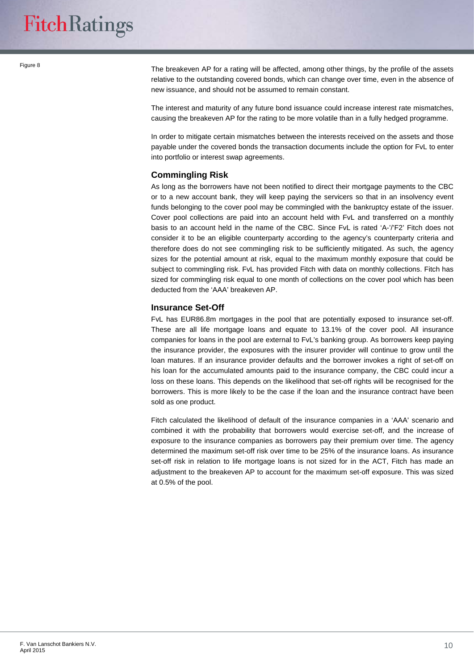Figure 8

The breakeven AP for a rating will be affected, among other things, by the profile of the assets relative to the outstanding covered bonds, which can change over time, even in the absence of new issuance, and should not be assumed to remain constant.

The interest and maturity of any future bond issuance could increase interest rate mismatches, causing the breakeven AP for the rating to be more volatile than in a fully hedged programme.

In order to mitigate certain mismatches between the interests received on the assets and those payable under the covered bonds the transaction documents include the option for FvL to enter into portfolio or interest swap agreements.

#### **Commingling Risk**

As long as the borrowers have not been notified to direct their mortgage payments to the CBC or to a new account bank, they will keep paying the servicers so that in an insolvency event funds belonging to the cover pool may be commingled with the bankruptcy estate of the issuer. Cover pool collections are paid into an account held with FvL and transferred on a monthly basis to an account held in the name of the CBC. Since FvL is rated 'A-'/'F2' Fitch does not consider it to be an eligible counterparty according to the agency's counterparty criteria and therefore does do not see commingling risk to be sufficiently mitigated. As such, the agency sizes for the potential amount at risk, equal to the maximum monthly exposure that could be subject to commingling risk. FvL has provided Fitch with data on monthly collections. Fitch has sized for commingling risk equal to one month of collections on the cover pool which has been deducted from the 'AAA' breakeven AP.

#### **Insurance Set-Off**

FvL has EUR86.8m mortgages in the pool that are potentially exposed to insurance set-off. These are all life mortgage loans and equate to 13.1% of the cover pool. All insurance companies for loans in the pool are external to FvL's banking group. As borrowers keep paying the insurance provider, the exposures with the insurer provider will continue to grow until the loan matures. If an insurance provider defaults and the borrower invokes a right of set-off on his loan for the accumulated amounts paid to the insurance company, the CBC could incur a loss on these loans. This depends on the likelihood that set-off rights will be recognised for the borrowers. This is more likely to be the case if the loan and the insurance contract have been sold as one product.

Fitch calculated the likelihood of default of the insurance companies in a 'AAA' scenario and combined it with the probability that borrowers would exercise set-off, and the increase of exposure to the insurance companies as borrowers pay their premium over time. The agency determined the maximum set-off risk over time to be 25% of the insurance loans. As insurance set-off risk in relation to life mortgage loans is not sized for in the ACT, Fitch has made an adjustment to the breakeven AP to account for the maximum set-off exposure. This was sized at 0.5% of the pool.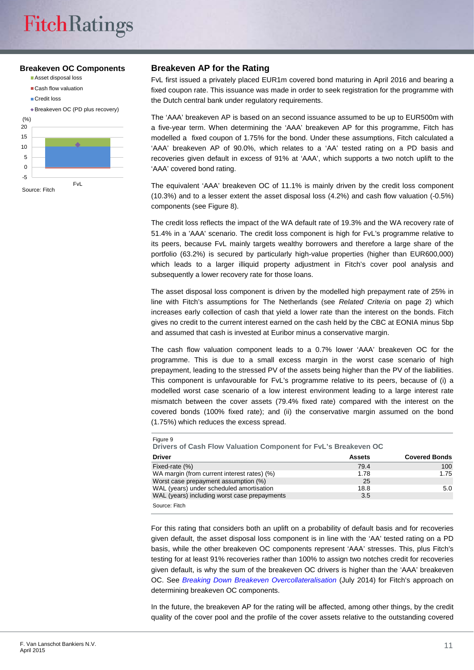#### **Breakeven OC Components**

- Asset disposal loss
- Cash flow valuation
- Credit loss



#### **Breakeven AP for the Rating**

FvL first issued a privately placed EUR1m covered bond maturing in April 2016 and bearing a fixed coupon rate. This issuance was made in order to seek registration for the programme with the Dutch central bank under regulatory requirements.

The 'AAA' breakeven AP is based on an second issuance assumed to be up to EUR500m with a five-year term. When determining the 'AAA' breakeven AP for this programme, Fitch has modelled a fixed coupon of 1.75% for the bond. Under these assumptions, Fitch calculated a 'AAA' breakeven AP of 90.0%, which relates to a 'AA' tested rating on a PD basis and recoveries given default in excess of 91% at 'AAA', which supports a two notch uplift to the 'AAA' covered bond rating.

The equivalent 'AAA' breakeven OC of 11.1% is mainly driven by the credit loss component (10.3%) and to a lesser extent the asset disposal loss (4.2%) and cash flow valuation (-0.5%) components (see Figure 8).

The credit loss reflects the impact of the WA default rate of 19.3% and the WA recovery rate of 51.4% in a 'AAA' scenario. The credit loss component is high for FvL's programme relative to its peers, because FvL mainly targets wealthy borrowers and therefore a large share of the portfolio (63.2%) is secured by particularly high-value properties (higher than EUR600,000) which leads to a larger illiquid property adjustment in Fitch's cover pool analysis and subsequently a lower recovery rate for those loans.

The asset disposal loss component is driven by the modelled high prepayment rate of 25% in line with Fitch's assumptions for The Netherlands (see *Related Criteria* on page 2) which increases early collection of cash that yield a lower rate than the interest on the bonds. Fitch gives no credit to the current interest earned on the cash held by the CBC at EONIA minus 5bp and assumed that cash is invested at Euribor minus a conservative margin.

The cash flow valuation component leads to a 0.7% lower 'AAA' breakeven OC for the programme. This is due to a small excess margin in the worst case scenario of high prepayment, leading to the stressed PV of the assets being higher than the PV of the liabilities. This component is unfavourable for FvL's programme relative to its peers, because of (i) a modelled worst case scenario of a low interest environment leading to a large interest rate mismatch between the cover assets (79.4% fixed rate) compared with the interest on the covered bonds (100% fixed rate); and (ii) the conservative margin assumed on the bond (1.75%) which reduces the excess spread.

| <b>Driver</b>                                | <b>Assets</b> | <b>Covered Bonds</b> |
|----------------------------------------------|---------------|----------------------|
| Fixed-rate (%)                               | 79.4          | 100                  |
| WA margin (from current interest rates) (%)  | 1.78          | 1.75                 |
| Worst case prepayment assumption (%)         | 25            |                      |
| WAL (years) under scheduled amortisation     | 18.8          | 5.0                  |
| WAL (years) including worst case prepayments | 3.5           |                      |

For this rating that considers both an uplift on a probability of default basis and for recoveries given default, the asset disposal loss component is in line with the 'AA' tested rating on a PD basis, while the other breakeven OC components represent 'AAA' stresses. This, plus Fitch's testing for at least 91% recoveries rather than 100% to assign two notches credit for recoveries given default, is why the sum of the breakeven OC drivers is higher than the 'AAA' breakeven OC. See *[Breaking Down Breakeven Overcollateralisation](https://www.fitchratings.com/creditdesk/reports/report_frame.cfm?rpt_id=751629)* (July 2014) for Fitch's approach on determining breakeven OC components.

In the future, the breakeven AP for the rating will be affected, among other things, by the credit quality of the cover pool and the profile of the cover assets relative to the outstanding covered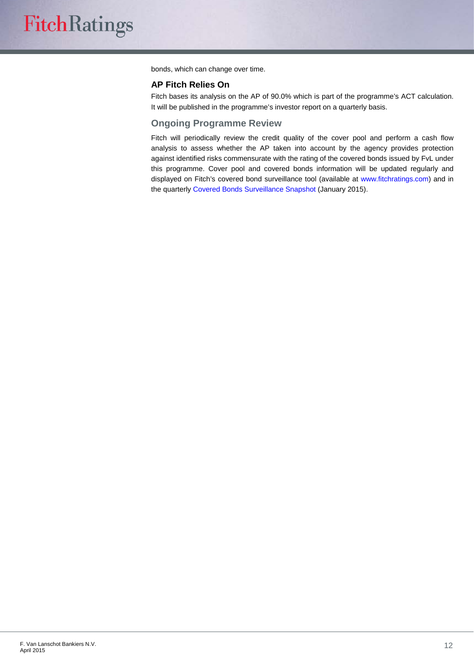bonds, which can change over time.

#### **AP Fitch Relies On**

Fitch bases its analysis on the AP of 90.0% which is part of the programme's ACT calculation. It will be published in the programme's investor report on a quarterly basis.

#### **Ongoing Programme Review**

Fitch will periodically review the credit quality of the cover pool and perform a cash flow analysis to assess whether the AP taken into account by the agency provides protection against identified risks commensurate with the rating of the covered bonds issued by FvL under this programme. Cover pool and covered bonds information will be updated regularly and displayed on Fitch's covered bond surveillance tool (available at [www.fitchratings.com\)](http://www.fitchratings.com/) and in the quarterl[y Covered Bonds Surveillance Snapshot](https://www.fitchratings.com/creditdesk/reports/report_frame.cfm?rpt_id=858748) (January 2015).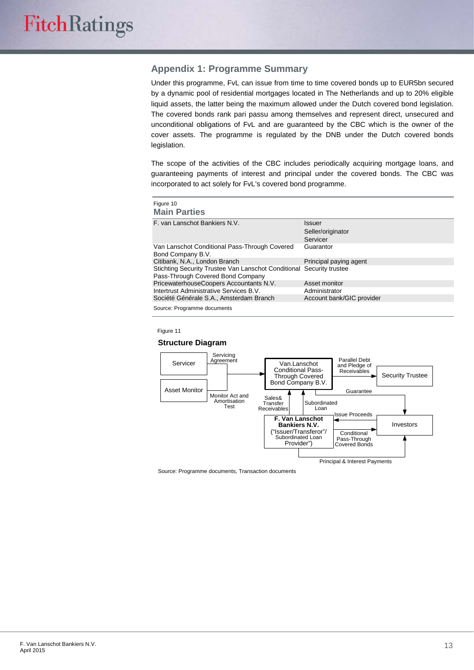#### **Appendix 1: Programme Summary**

Under this programme, FvL can issue from time to time covered bonds up to EUR5bn secured by a dynamic pool of residential mortgages located in The Netherlands and up to 20% eligible liquid assets, the latter being the maximum allowed under the Dutch covered bond legislation. The covered bonds rank pari passu among themselves and represent direct, unsecured and unconditional obligations of FvL and are guaranteed by the CBC which is the owner of the cover assets. The programme is regulated by the DNB under the Dutch covered bonds legislation.

The scope of the activities of the CBC includes periodically acquiring mortgage loans, and guaranteeing payments of interest and principal under the covered bonds. The CBC was incorporated to act solely for FvL's covered bond programme.

| Figure 10<br><b>Main Parties</b>                                                                          |                                         |
|-----------------------------------------------------------------------------------------------------------|-----------------------------------------|
| F. van Lanschot Bankiers N.V.                                                                             | Issuer<br>Seller/originator<br>Servicer |
| Van Lanschot Conditional Pass-Through Covered<br>Bond Company B.V.                                        | Guarantor                               |
| Citibank, N.A., London Branch                                                                             | Principal paying agent                  |
| Stichting Security Trustee Van Lanschot Conditional Security trustee<br>Pass-Through Covered Bond Company |                                         |
| PricewaterhouseCoopers Accountants N.V.                                                                   | Asset monitor                           |
| Intertrust Administrative Services B.V.                                                                   | Administrator                           |
| Société Générale S.A., Amsterdam Branch                                                                   | Account bank/GIC provider               |
| Source: Programme documents                                                                               |                                         |

Figure 11

#### **Structure Diagram**



Source: Programme documents, Transaction documents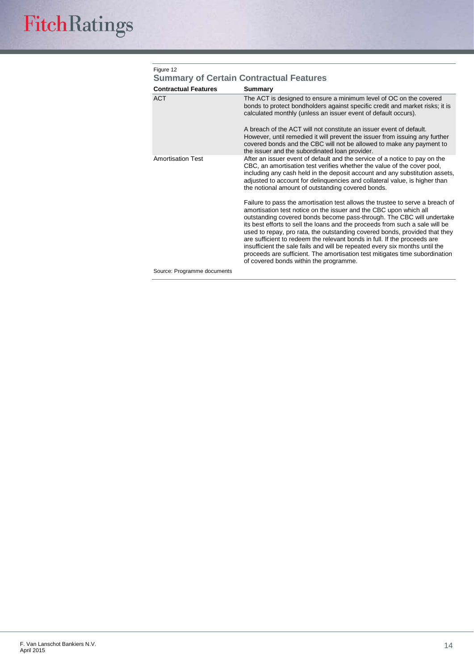| <b>Contractual Features</b> | Summary                                                                                                                                                                                                                                                                                                                                                                                                                                                                                                                                                                                                                                                                       |
|-----------------------------|-------------------------------------------------------------------------------------------------------------------------------------------------------------------------------------------------------------------------------------------------------------------------------------------------------------------------------------------------------------------------------------------------------------------------------------------------------------------------------------------------------------------------------------------------------------------------------------------------------------------------------------------------------------------------------|
| <b>ACT</b>                  | The ACT is designed to ensure a minimum level of OC on the covered<br>bonds to protect bondholders against specific credit and market risks; it is<br>calculated monthly (unless an issuer event of default occurs).                                                                                                                                                                                                                                                                                                                                                                                                                                                          |
|                             | A breach of the ACT will not constitute an issuer event of default.<br>However, until remedied it will prevent the issuer from issuing any further<br>covered bonds and the CBC will not be allowed to make any payment to<br>the issuer and the subordinated loan provider.                                                                                                                                                                                                                                                                                                                                                                                                  |
| <b>Amortisation Test</b>    | After an issuer event of default and the service of a notice to pay on the<br>CBC, an amortisation test verifies whether the value of the cover pool,<br>including any cash held in the deposit account and any substitution assets,<br>adjusted to account for delinguencies and collateral value, is higher than<br>the notional amount of outstanding covered bonds.                                                                                                                                                                                                                                                                                                       |
|                             | Failure to pass the amortisation test allows the trustee to serve a breach of<br>amortisation test notice on the issuer and the CBC upon which all<br>outstanding covered bonds become pass-through. The CBC will undertake<br>its best efforts to sell the loans and the proceeds from such a sale will be<br>used to repay, pro rata, the outstanding covered bonds, provided that they<br>are sufficient to redeem the relevant bonds in full. If the proceeds are<br>insufficient the sale fails and will be repeated every six months until the<br>proceeds are sufficient. The amortisation test mitigates time subordination<br>of covered bonds within the programme. |

# $F$ iqure 12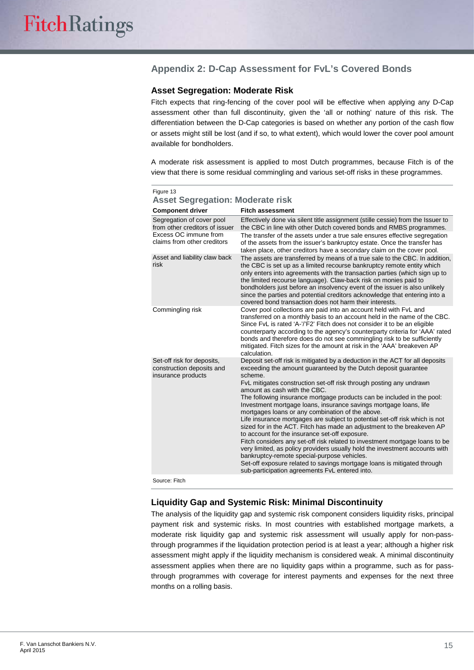#### **Appendix 2: D-Cap Assessment for FvL's Covered Bonds**

#### **Asset Segregation: Moderate Risk**

Fitch expects that ring-fencing of the cover pool will be effective when applying any D-Cap assessment other than full discontinuity, given the 'all or nothing' nature of this risk. The differentiation between the D-Cap categories is based on whether any portion of the cash flow or assets might still be lost (and if so, to what extent), which would lower the cover pool amount available for bondholders.

A moderate risk assessment is applied to most Dutch programmes, because Fitch is of the view that there is some residual commingling and various set-off risks in these programmes.

| <b>Asset Segregation: Moderate risk</b>                                       |                                                                                                                                                                                                                                                                                                                                                                                                                                                                                                                                                                                                                                                                                                                                                                                                                                                                                                                                                                                                                          |  |  |
|-------------------------------------------------------------------------------|--------------------------------------------------------------------------------------------------------------------------------------------------------------------------------------------------------------------------------------------------------------------------------------------------------------------------------------------------------------------------------------------------------------------------------------------------------------------------------------------------------------------------------------------------------------------------------------------------------------------------------------------------------------------------------------------------------------------------------------------------------------------------------------------------------------------------------------------------------------------------------------------------------------------------------------------------------------------------------------------------------------------------|--|--|
| <b>Component driver</b>                                                       | <b>Fitch assessment</b>                                                                                                                                                                                                                                                                                                                                                                                                                                                                                                                                                                                                                                                                                                                                                                                                                                                                                                                                                                                                  |  |  |
| Segregation of cover pool<br>from other creditors of issuer                   | Effectively done via silent title assignment (stille cessie) from the Issuer to<br>the CBC in line with other Dutch covered bonds and RMBS programmes.                                                                                                                                                                                                                                                                                                                                                                                                                                                                                                                                                                                                                                                                                                                                                                                                                                                                   |  |  |
| Excess OC immune from<br>claims from other creditors                          | The transfer of the assets under a true sale ensures effective segregation<br>of the assets from the issuer's bankruptcy estate. Once the transfer has<br>taken place, other creditors have a secondary claim on the cover pool.                                                                                                                                                                                                                                                                                                                                                                                                                                                                                                                                                                                                                                                                                                                                                                                         |  |  |
| Asset and liability claw back<br>risk                                         | The assets are transferred by means of a true sale to the CBC. In addition,<br>the CBC is set up as a limited recourse bankruptcy remote entity which<br>only enters into agreements with the transaction parties (which sign up to<br>the limited recourse language). Claw-back risk on monies paid to<br>bondholders just before an insolvency event of the issuer is also unlikely<br>since the parties and potential creditors acknowledge that entering into a<br>covered bond transaction does not harm their interests.                                                                                                                                                                                                                                                                                                                                                                                                                                                                                           |  |  |
| Commingling risk                                                              | Cover pool collections are paid into an account held with FvL and<br>transferred on a monthly basis to an account held in the name of the CBC.<br>Since FvL is rated 'A-'/'F2' Fitch does not consider it to be an eligible<br>counterparty according to the agency's counterparty criteria for 'AAA' rated<br>bonds and therefore does do not see commingling risk to be sufficiently<br>mitigated. Fitch sizes for the amount at risk in the 'AAA' breakeven AP<br>calculation.                                                                                                                                                                                                                                                                                                                                                                                                                                                                                                                                        |  |  |
| Set-off risk for deposits,<br>construction deposits and<br>insurance products | Deposit set-off risk is mitigated by a deduction in the ACT for all deposits<br>exceeding the amount guaranteed by the Dutch deposit guarantee<br>scheme.<br>FvL mitigates construction set-off risk through posting any undrawn<br>amount as cash with the CBC.<br>The following insurance mortgage products can be included in the pool:<br>Investment mortgage loans, insurance savings mortgage loans, life<br>mortgages loans or any combination of the above.<br>Life insurance mortgages are subject to potential set-off risk which is not<br>sized for in the ACT. Fitch has made an adjustment to the breakeven AP<br>to account for the insurance set-off exposure.<br>Fitch considers any set-off risk related to investment mortgage loans to be<br>very limited, as policy providers usually hold the investment accounts with<br>bankruptcy-remote special-purpose vehicles.<br>Set-off exposure related to savings mortgage loans is mitigated through<br>sub-participation agreements FvL entered into. |  |  |
| Source: Fitch                                                                 |                                                                                                                                                                                                                                                                                                                                                                                                                                                                                                                                                                                                                                                                                                                                                                                                                                                                                                                                                                                                                          |  |  |

| Figure 13 |                                         |                         |  |
|-----------|-----------------------------------------|-------------------------|--|
|           | <b>Asset Segregation: Moderate risk</b> |                         |  |
|           | <b>Component driver</b>                 | <b>Fitch assessment</b> |  |

งurce: Fitch

#### **Liquidity Gap and Systemic Risk: Minimal Discontinuity**

The analysis of the liquidity gap and systemic risk component considers liquidity risks, principal payment risk and systemic risks. In most countries with established mortgage markets, a moderate risk liquidity gap and systemic risk assessment will usually apply for non-passthrough programmes if the liquidation protection period is at least a year; although a higher risk assessment might apply if the liquidity mechanism is considered weak. A minimal discontinuity assessment applies when there are no liquidity gaps within a programme, such as for passthrough programmes with coverage for interest payments and expenses for the next three months on a rolling basis.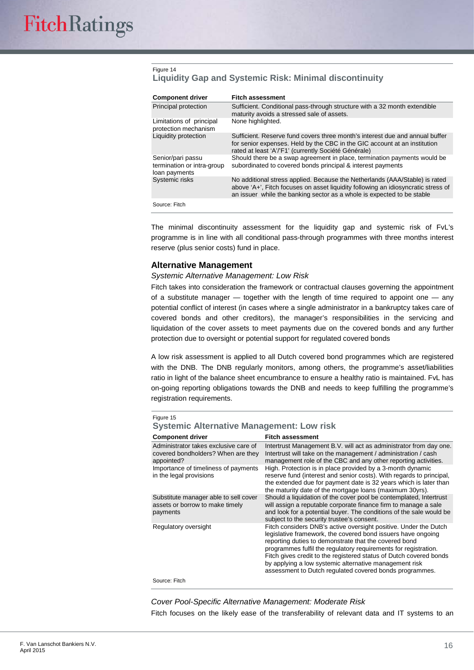#### Figure 14 **Liquidity Gap and Systemic Risk: Minimal discontinuity**

| <b>Component driver</b>                                          | <b>Fitch assessment</b>                                                                                                                                                                                                                    |
|------------------------------------------------------------------|--------------------------------------------------------------------------------------------------------------------------------------------------------------------------------------------------------------------------------------------|
| Principal protection                                             | Sufficient. Conditional pass-through structure with a 32 month extendible<br>maturity avoids a stressed sale of assets.                                                                                                                    |
| Limitations of principal<br>protection mechanism                 | None highlighted.                                                                                                                                                                                                                          |
| Liquidity protection                                             | Sufficient. Reserve fund covers three month's interest due and annual buffer<br>for senior expenses. Held by the CBC in the GIC account at an institution<br>rated at least 'A'/'F1' (currently Société Générale)                          |
| Senior/pari passu<br>termination or intra-group<br>loan payments | Should there be a swap agreement in place, termination payments would be<br>subordinated to covered bonds principal & interest payments                                                                                                    |
| Systemic risks                                                   | No additional stress applied. Because the Netherlands (AAA/Stable) is rated<br>above 'A+', Fitch focuses on asset liquidity following an idiosyncratic stress of<br>an issuer while the banking sector as a whole is expected to be stable |
| Source: Fitch                                                    |                                                                                                                                                                                                                                            |

The minimal discontinuity assessment for the liquidity gap and systemic risk of FvL's programme is in line with all conditional pass-through programmes with three months interest reserve (plus senior costs) fund in place.

#### **Alternative Management**

#### *Systemic Alternative Management: Low Risk*

Fitch takes into consideration the framework or contractual clauses governing the appointment of a substitute manager  $-$  together with the length of time required to appoint one  $-$  any potential conflict of interest (in cases where a single administrator in a bankruptcy takes care of covered bonds and other creditors), the manager's responsibilities in the servicing and liquidation of the cover assets to meet payments due on the covered bonds and any further protection due to oversight or potential support for regulated covered bonds

A low risk assessment is applied to all Dutch covered bond programmes which are registered with the DNB. The DNB regularly monitors, among others, the programme's asset/liabilities ratio in light of the balance sheet encumbrance to ensure a healthy ratio is maintained. FvL has on-going reporting obligations towards the DNB and needs to keep fulfilling the programme's registration requirements.

| Figure 15<br><b>Systemic Alternative Management: Low risk</b>                             |                                                                                                                                                                                                                                                                                                                                                                                                                                                         |  |  |  |
|-------------------------------------------------------------------------------------------|---------------------------------------------------------------------------------------------------------------------------------------------------------------------------------------------------------------------------------------------------------------------------------------------------------------------------------------------------------------------------------------------------------------------------------------------------------|--|--|--|
| <b>Component driver</b>                                                                   | <b>Fitch assessment</b>                                                                                                                                                                                                                                                                                                                                                                                                                                 |  |  |  |
| Administrator takes exclusive care of<br>covered bondholders? When are they<br>appointed? | Intertrust Management B.V. will act as administrator from day one.<br>Intertrust will take on the management / administration / cash<br>management role of the CBC and any other reporting activities.                                                                                                                                                                                                                                                  |  |  |  |
| Importance of timeliness of payments<br>in the legal provisions                           | High. Protection is in place provided by a 3-month dynamic<br>reserve fund (interest and senior costs). With regards to principal,<br>the extended due for payment date is 32 years which is later than<br>the maturity date of the mortgage loans (maximum 30yrs).                                                                                                                                                                                     |  |  |  |
| Substitute manager able to sell cover<br>assets or borrow to make timely<br>payments      | Should a liquidation of the cover pool be contemplated, Intertrust<br>will assign a reputable corporate finance firm to manage a sale<br>and look for a potential buyer. The conditions of the sale would be<br>subject to the security trustee's consent.                                                                                                                                                                                              |  |  |  |
| Regulatory oversight                                                                      | Fitch considers DNB's active oversight positive. Under the Dutch<br>legislative framework, the covered bond issuers have ongoing<br>reporting duties to demonstrate that the covered bond<br>programmes fulfil the regulatory requirements for registration.<br>Fitch gives credit to the registered status of Dutch covered bonds<br>by applying a low systemic alternative management risk<br>assessment to Dutch regulated covered bonds programmes. |  |  |  |
| Source: Fitch                                                                             |                                                                                                                                                                                                                                                                                                                                                                                                                                                         |  |  |  |

*Cover Pool-Specific Alternative Management: Moderate Risk* Fitch focuses on the likely ease of the transferability of relevant data and IT systems to an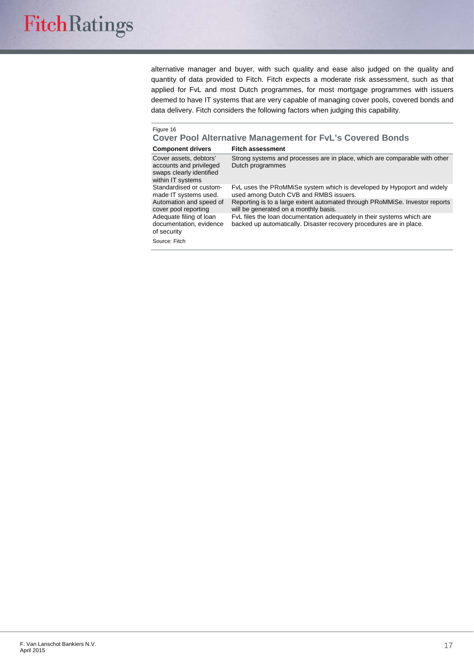alternative manager and buyer, with such quality and ease also judged on the quality and quantity of data provided to Fitch. Fitch expects a moderate risk assessment, such as that applied for FvL and most Dutch programmes, for most mortgage programmes with issuers deemed to have IT systems that are very capable of managing cover pools, covered bonds and data delivery. Fitch considers the following factors when judging this capability.

#### Figure 16

**Cover Pool Alternative Management for FvL's Covered Bonds**

| <b>Component drivers</b> | <b>Fitch assessment</b> |
|--------------------------|-------------------------|
|--------------------------|-------------------------|

| Cover assets, debtors'<br>accounts and privileged<br>swaps clearly identified<br>within IT systems | Strong systems and processes are in place, which are comparable with other<br>Dutch programmes                                                |
|----------------------------------------------------------------------------------------------------|-----------------------------------------------------------------------------------------------------------------------------------------------|
| Standardised or custom-<br>made IT systems used.                                                   | FvL uses the PRoMMiSe system which is developed by Hypoport and widely<br>used among Dutch CVB and RMBS issuers.                              |
| Automation and speed of<br>cover pool reporting                                                    | Reporting is to a large extent automated through PRoMMiSe. Investor reports<br>will be generated on a monthly basis.                          |
| Adequate filing of loan<br>documentation, evidence<br>of security                                  | FvL files the loan documentation adequately in their systems which are<br>backed up automatically. Disaster recovery procedures are in place. |
| Source: Fitch                                                                                      |                                                                                                                                               |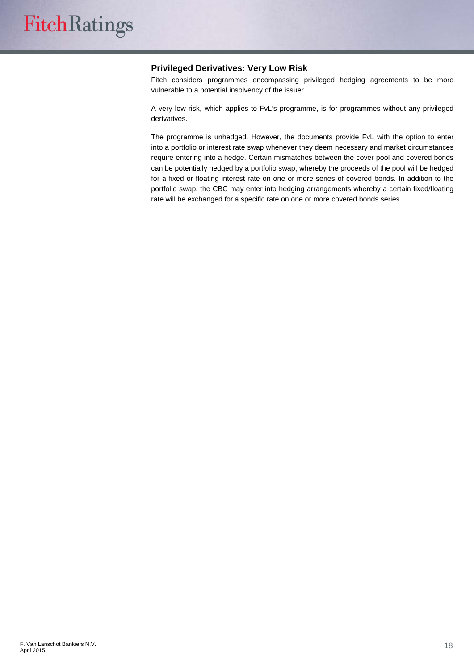#### **Privileged Derivatives: Very Low Risk**

Fitch considers programmes encompassing privileged hedging agreements to be more vulnerable to a potential insolvency of the issuer.

A very low risk, which applies to FvL's programme, is for programmes without any privileged derivatives.

The programme is unhedged. However, the documents provide FvL with the option to enter into a portfolio or interest rate swap whenever they deem necessary and market circumstances require entering into a hedge. Certain mismatches between the cover pool and covered bonds can be potentially hedged by a portfolio swap, whereby the proceeds of the pool will be hedged for a fixed or floating interest rate on one or more series of covered bonds. In addition to the portfolio swap, the CBC may enter into hedging arrangements whereby a certain fixed/floating rate will be exchanged for a specific rate on one or more covered bonds series.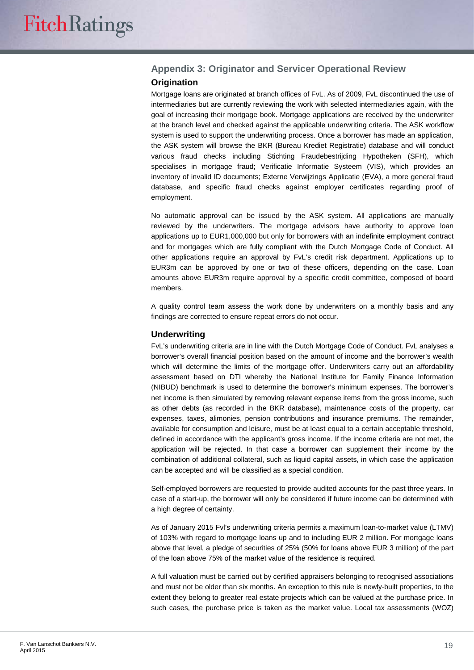### **Appendix 3: Originator and Servicer Operational Review**

#### **Origination**

Mortgage loans are originated at branch offices of FvL. As of 2009, FvL discontinued the use of intermediaries but are currently reviewing the work with selected intermediaries again, with the goal of increasing their mortgage book. Mortgage applications are received by the underwriter at the branch level and checked against the applicable underwriting criteria. The ASK workflow system is used to support the underwriting process. Once a borrower has made an application, the ASK system will browse the BKR (Bureau Krediet Registratie) database and will conduct various fraud checks including Stichting Fraudebestrijding Hypotheken (SFH), which specialises in mortgage fraud; Verificatie Informatie Systeem (VIS), which provides an inventory of invalid ID documents; Externe Verwijzings Applicatie (EVA), a more general fraud database, and specific fraud checks against employer certificates regarding proof of employment.

No automatic approval can be issued by the ASK system. All applications are manually reviewed by the underwriters. The mortgage advisors have authority to approve loan applications up to EUR1,000,000 but only for borrowers with an indefinite employment contract and for mortgages which are fully compliant with the Dutch Mortgage Code of Conduct. All other applications require an approval by FvL's credit risk department. Applications up to EUR3m can be approved by one or two of these officers, depending on the case. Loan amounts above EUR3m require approval by a specific credit committee, composed of board members.

A quality control team assess the work done by underwriters on a monthly basis and any findings are corrected to ensure repeat errors do not occur.

#### **Underwriting**

FvL's underwriting criteria are in line with the Dutch Mortgage Code of Conduct. FvL analyses a borrower's overall financial position based on the amount of income and the borrower's wealth which will determine the limits of the mortgage offer. Underwriters carry out an affordability assessment based on DTI whereby the National Institute for Family Finance Information (NIBUD) benchmark is used to determine the borrower's minimum expenses. The borrower's net income is then simulated by removing relevant expense items from the gross income, such as other debts (as recorded in the BKR database), maintenance costs of the property, car expenses, taxes, alimonies, pension contributions and insurance premiums. The remainder, available for consumption and leisure, must be at least equal to a certain acceptable threshold, defined in accordance with the applicant's gross income. If the income criteria are not met, the application will be rejected. In that case a borrower can supplement their income by the combination of additional collateral, such as liquid capital assets, in which case the application can be accepted and will be classified as a special condition.

Self-employed borrowers are requested to provide audited accounts for the past three years. In case of a start-up, the borrower will only be considered if future income can be determined with a high degree of certainty.

As of January 2015 Fvl's underwriting criteria permits a maximum loan-to-market value (LTMV) of 103% with regard to mortgage loans up and to including EUR 2 million. For mortgage loans above that level, a pledge of securities of 25% (50% for loans above EUR 3 million) of the part of the loan above 75% of the market value of the residence is required.

A full valuation must be carried out by certified appraisers belonging to recognised associations and must not be older than six months. An exception to this rule is newly-built properties, to the extent they belong to greater real estate projects which can be valued at the purchase price. In such cases, the purchase price is taken as the market value. Local tax assessments (WOZ)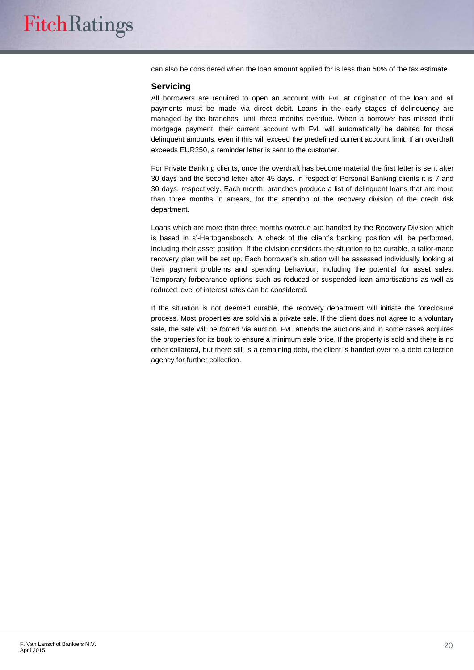can also be considered when the loan amount applied for is less than 50% of the tax estimate.

#### **Servicing**

All borrowers are required to open an account with FvL at origination of the loan and all payments must be made via direct debit. Loans in the early stages of delinquency are managed by the branches, until three months overdue. When a borrower has missed their mortgage payment, their current account with FvL will automatically be debited for those delinquent amounts, even if this will exceed the predefined current account limit. If an overdraft exceeds EUR250, a reminder letter is sent to the customer.

For Private Banking clients, once the overdraft has become material the first letter is sent after 30 days and the second letter after 45 days. In respect of Personal Banking clients it is 7 and 30 days, respectively. Each month, branches produce a list of delinquent loans that are more than three months in arrears, for the attention of the recovery division of the credit risk department.

Loans which are more than three months overdue are handled by the Recovery Division which is based in s'-Hertogensbosch. A check of the client's banking position will be performed, including their asset position. If the division considers the situation to be curable, a tailor-made recovery plan will be set up. Each borrower's situation will be assessed individually looking at their payment problems and spending behaviour, including the potential for asset sales. Temporary forbearance options such as reduced or suspended loan amortisations as well as reduced level of interest rates can be considered.

If the situation is not deemed curable, the recovery department will initiate the foreclosure process. Most properties are sold via a private sale. If the client does not agree to a voluntary sale, the sale will be forced via auction. FvL attends the auctions and in some cases acquires the properties for its book to ensure a minimum sale price. If the property is sold and there is no other collateral, but there still is a remaining debt, the client is handed over to a debt collection agency for further collection.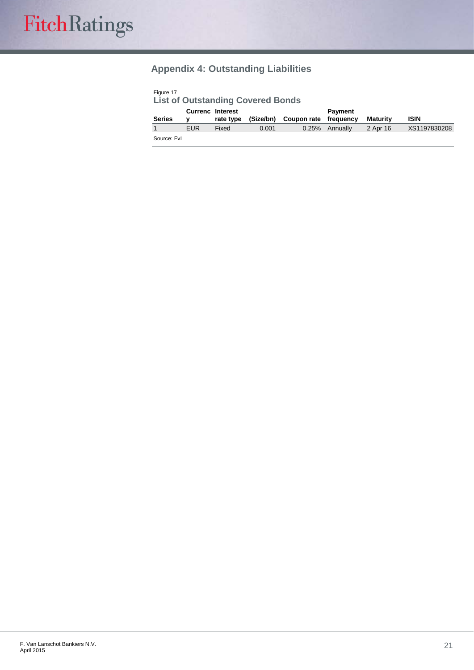## **Appendix 4: Outstanding Liabilities**

| Figure 17<br><b>List of Outstanding Covered Bonds</b> |            |                                      |           |             |                      |                 |              |
|-------------------------------------------------------|------------|--------------------------------------|-----------|-------------|----------------------|-----------------|--------------|
| <b>Series</b>                                         | v          | <b>Currenc Interest</b><br>rate type | (Size/bn) | Coupon rate | Payment<br>freauencv | <b>Maturity</b> | <b>ISIN</b>  |
|                                                       | <b>EUR</b> | Fixed                                | 0.001     | 0.25%       | Annually             | 2 Apr 16        | XS1197830208 |
| Source: FvL                                           |            |                                      |           |             |                      |                 |              |